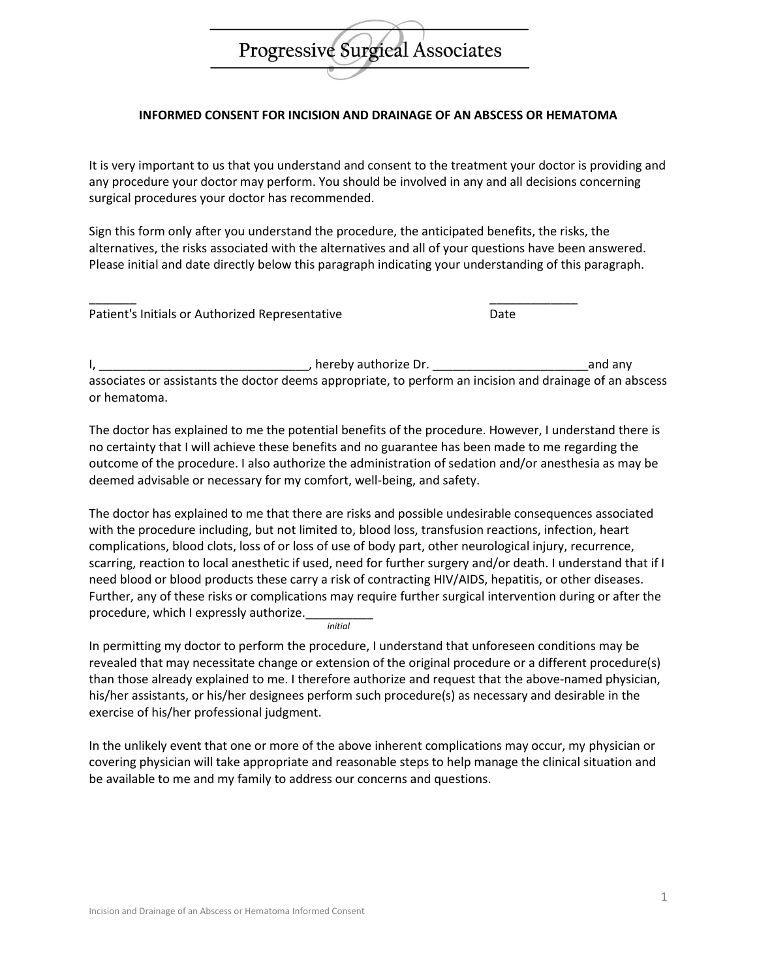## Progressive Surgical Associates

## **INFORMED CONSENT FOR INCISION AND DRAINAGE OF AN ABSCESS OR HEMATOMA**

It is very important to us that you understand and consent to the treatment your doctor is providing and any procedure your doctor may perform. You should be involved in any and all decisions concerning surgical procedures your doctor has recommended.

Sign this form only after you understand the procedure, the anticipated benefits, the risks, the alternatives, the risks associated with the alternatives and all of your questions have been answered. Please initial and date directly below this paragraph indicating your understanding of this paragraph.

\_\_\_\_\_\_\_ \_\_\_\_\_\_\_\_\_\_\_\_\_

|  | Patient's Initials or Authorized Representative |  | Date |
|--|-------------------------------------------------|--|------|
|--|-------------------------------------------------|--|------|

I, \_\_\_\_\_\_\_\_\_\_\_\_\_\_\_\_\_\_\_\_\_\_\_\_\_\_\_\_\_\_\_, hereby authorize Dr. \_\_\_\_\_\_\_\_\_\_\_\_\_\_\_\_\_\_\_\_\_\_\_and any associates or assistants the doctor deems appropriate, to perform an incision and drainage of an abscess or hematoma.

The doctor has explained to me the potential benefits of the procedure. However, I understand there is no certainty that I will achieve these benefits and no guarantee has been made to me regarding the outcome of the procedure. I also authorize the administration of sedation and/or anesthesia as may be deemed advisable or necessary for my comfort, well-being, and safety.

The doctor has explained to me that there are risks and possible undesirable consequences associated with the procedure including, but not limited to, blood loss, transfusion reactions, infection, heart complications, blood clots, loss of or loss of use of body part, other neurological injury, recurrence, scarring, reaction to local anesthetic if used, need for further surgery and/or death. I understand that if I need blood or blood products these carry a risk of contracting HIV/AIDS, hepatitis, or other diseases. Further, any of these risks or complications may require further surgical intervention during or after the procedure, which I expressly authorize.

*initial*

In permitting my doctor to perform the procedure, I understand that unforeseen conditions may be revealed that may necessitate change or extension of the original procedure or a different procedure(s) than those already explained to me. I therefore authorize and request that the above-named physician, his/her assistants, or his/her designees perform such procedure(s) as necessary and desirable in the exercise of his/her professional judgment.

In the unlikely event that one or more of the above inherent complications may occur, my physician or covering physician will take appropriate and reasonable steps to help manage the clinical situation and be available to me and my family to address our concerns and questions.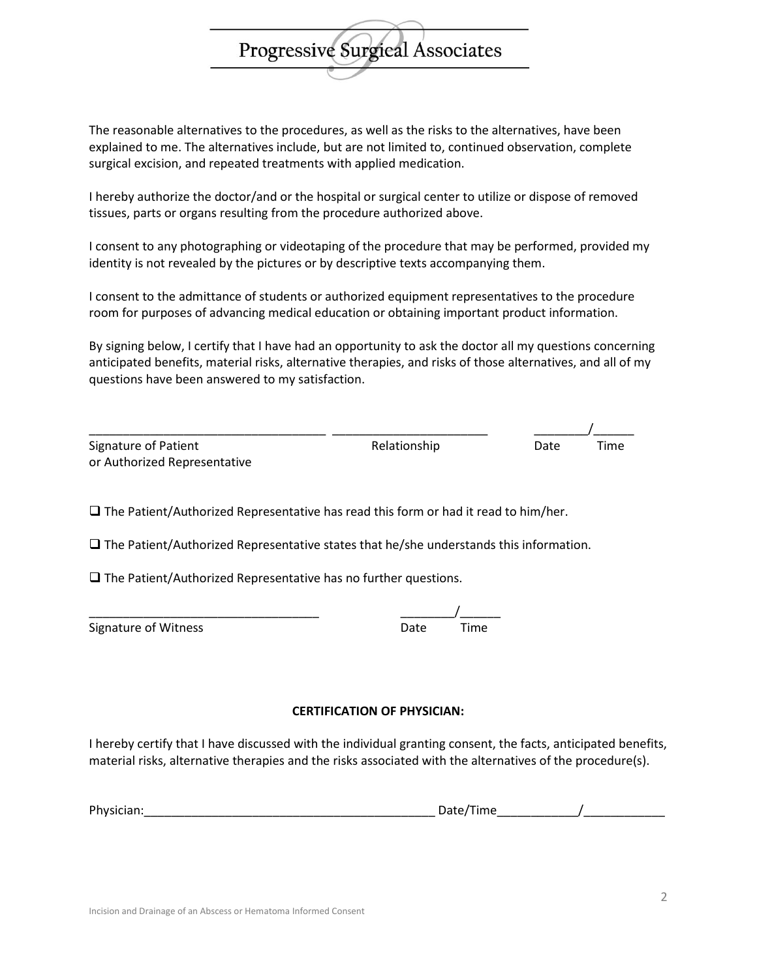The reasonable alternatives to the procedures, as well as the risks to the alternatives, have been explained to me. The alternatives include, but are not limited to, continued observation, complete surgical excision, and repeated treatments with applied medication.

**Progressive Surgieal Associates** 

I hereby authorize the doctor/and or the hospital or surgical center to utilize or dispose of removed tissues, parts or organs resulting from the procedure authorized above.

I consent to any photographing or videotaping of the procedure that may be performed, provided my identity is not revealed by the pictures or by descriptive texts accompanying them.

I consent to the admittance of students or authorized equipment representatives to the procedure room for purposes of advancing medical education or obtaining important product information.

By signing below, I certify that I have had an opportunity to ask the doctor all my questions concerning anticipated benefits, material risks, alternative therapies, and risks of those alternatives, and all of my questions have been answered to my satisfaction.

| Signature of Patient         |
|------------------------------|
| or Authorized Representative |

\_\_\_\_\_\_\_\_\_\_\_\_\_\_\_\_\_\_\_\_\_\_\_\_\_\_\_\_\_\_\_\_\_\_\_ \_\_\_\_\_\_\_\_\_\_\_\_\_\_\_\_\_\_\_\_\_\_\_ \_\_\_\_\_\_\_\_/\_\_\_\_\_\_ Relationship Date Time

 $\square$  The Patient/Authorized Representative has read this form or had it read to him/her.

 $\square$  The Patient/Authorized Representative states that he/she understands this information.

 $\square$  The Patient/Authorized Representative has no further questions.

\_\_\_\_\_\_\_\_\_\_\_\_\_\_\_\_\_\_\_\_\_\_\_\_\_\_\_\_\_\_\_\_\_\_ \_\_\_\_\_\_\_\_/\_\_\_\_\_\_

| <b>Signature of Witness</b> | Date | Time |
|-----------------------------|------|------|
|-----------------------------|------|------|

## **CERTIFICATION OF PHYSICIAN:**

I hereby certify that I have discussed with the individual granting consent, the facts, anticipated benefits, material risks, alternative therapies and the risks associated with the alternatives of the procedure(s).

| Phy |  |
|-----|--|
|     |  |